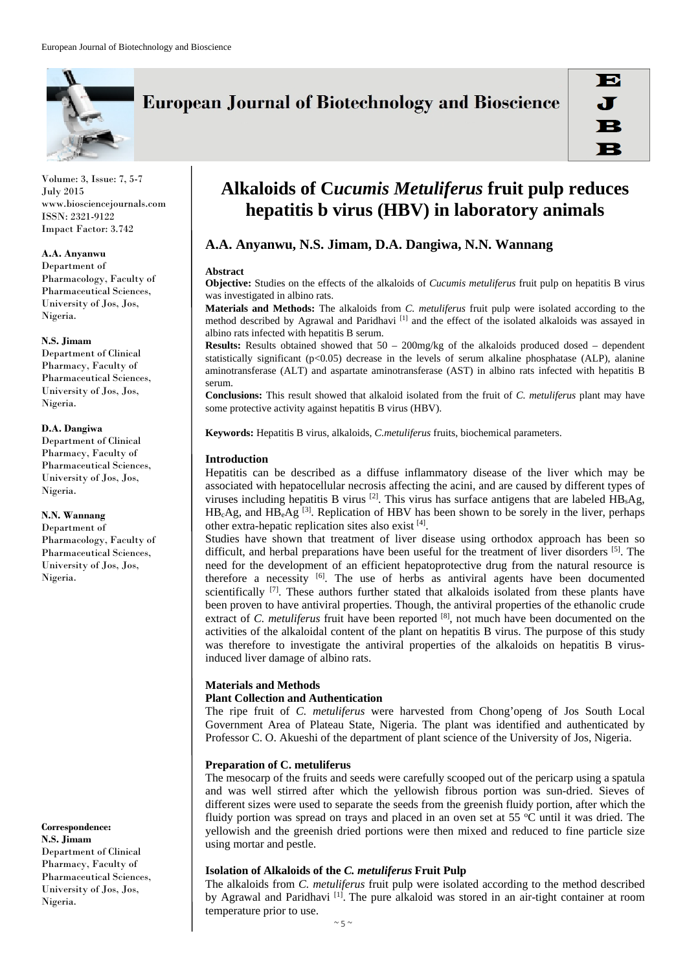

**European Journal of Biotechnology and Bioscience** 

Volume: 3, Issue: 7, 5-7 July 2015 www.biosciencejournals.com ISSN: 2321-9122 Impact Factor: 3.742

#### **A.A. Anyanwu**

Department of Pharmacology, Faculty of Pharmaceutical Sciences, University of Jos, Jos, Nigeria.

## **N.S. Jimam**

Department of Clinical Pharmacy, Faculty of Pharmaceutical Sciences, University of Jos, Jos, Nigeria.

#### **D.A. Dangiwa**

Department of Clinical Pharmacy, Faculty of Pharmaceutical Sciences, University of Jos, Jos, Nigeria.

#### **N.N. Wannang**

Department of Pharmacology, Faculty of Pharmaceutical Sciences, University of Jos, Jos, Nigeria.

**Correspondence:** 

**N.S. Jimam**  Department of Clinical Pharmacy, Faculty of Pharmaceutical Sciences, University of Jos, Jos, Nigeria.

# **Alkaloids of C***ucumis Metuliferus* **fruit pulp reduces hepatitis b virus (HBV) in laboratory animals**

# **A.A. Anyanwu, N.S. Jimam, D.A. Dangiwa, N.N. Wannang**

#### **Abstract**

**Objective:** Studies on the effects of the alkaloids of *Cucumis metuliferus* fruit pulp on hepatitis B virus was investigated in albino rats.

**Materials and Methods:** The alkaloids from *C. metuliferus* fruit pulp were isolated according to the method described by Agrawal and Paridhavi [1] and the effect of the isolated alkaloids was assayed in albino rats infected with hepatitis B serum.

**Results:** Results obtained showed that 50 – 200mg/kg of the alkaloids produced dosed – dependent statistically significant (p<0.05) decrease in the levels of serum alkaline phosphatase (ALP), alanine aminotransferase (ALT) and aspartate aminotransferase (AST) in albino rats infected with hepatitis B serum.

**Conclusions:** This result showed that alkaloid isolated from the fruit of *C. metuliferus* plant may have some protective activity against hepatitis B virus (HBV).

**Keywords:** Hepatitis B virus, alkaloids, *C.metuliferus* fruits, biochemical parameters.

## **Introduction**

Hepatitis can be described as a diffuse inflammatory disease of the liver which may be associated with hepatocellular necrosis affecting the acini, and are caused by different types of viruses including hepatitis B virus  $^{[2]}$ . This virus has surface antigens that are labeled  $\overline{HB}_s\overline{Ag}$ ,  $HB<sub>c</sub>Ag$ , and  $HB<sub>e</sub>Ag$ <sup>[3]</sup>. Replication of HBV has been shown to be sorely in the liver, perhaps other extra-hepatic replication sites also exist [4].

Studies have shown that treatment of liver disease using orthodox approach has been so difficult, and herbal preparations have been useful for the treatment of liver disorders [5]. The need for the development of an efficient hepatoprotective drug from the natural resource is therefore a necessity  $[6]$ . The use of herbs as antiviral agents have been documented scientifically  $[7]$ . These authors further stated that alkaloids isolated from these plants have been proven to have antiviral properties. Though, the antiviral properties of the ethanolic crude extract of *C. metuliferus* fruit have been reported [8], not much have been documented on the activities of the alkaloidal content of the plant on hepatitis B virus. The purpose of this study was therefore to investigate the antiviral properties of the alkaloids on hepatitis B virusinduced liver damage of albino rats.

## **Materials and Methods**

## **Plant Collection and Authentication**

The ripe fruit of *C. metuliferus* were harvested from Chong'openg of Jos South Local Government Area of Plateau State, Nigeria. The plant was identified and authenticated by Professor C. O. Akueshi of the department of plant science of the University of Jos, Nigeria.

## **Preparation of C. metuliferus**

The mesocarp of the fruits and seeds were carefully scooped out of the pericarp using a spatula and was well stirred after which the yellowish fibrous portion was sun-dried. Sieves of different sizes were used to separate the seeds from the greenish fluidy portion, after which the fluidy portion was spread on trays and placed in an oven set at 55  $\mathrm{^{\circ}C}$  until it was dried. The yellowish and the greenish dried portions were then mixed and reduced to fine particle size using mortar and pestle.

## **Isolation of Alkaloids of the** *C. metuliferus* **Fruit Pulp**

The alkaloids from *C. metuliferus* fruit pulp were isolated according to the method described by Agrawal and Paridhavi <sup>[1]</sup>. The pure alkaloid was stored in an air-tight container at room temperature prior to use.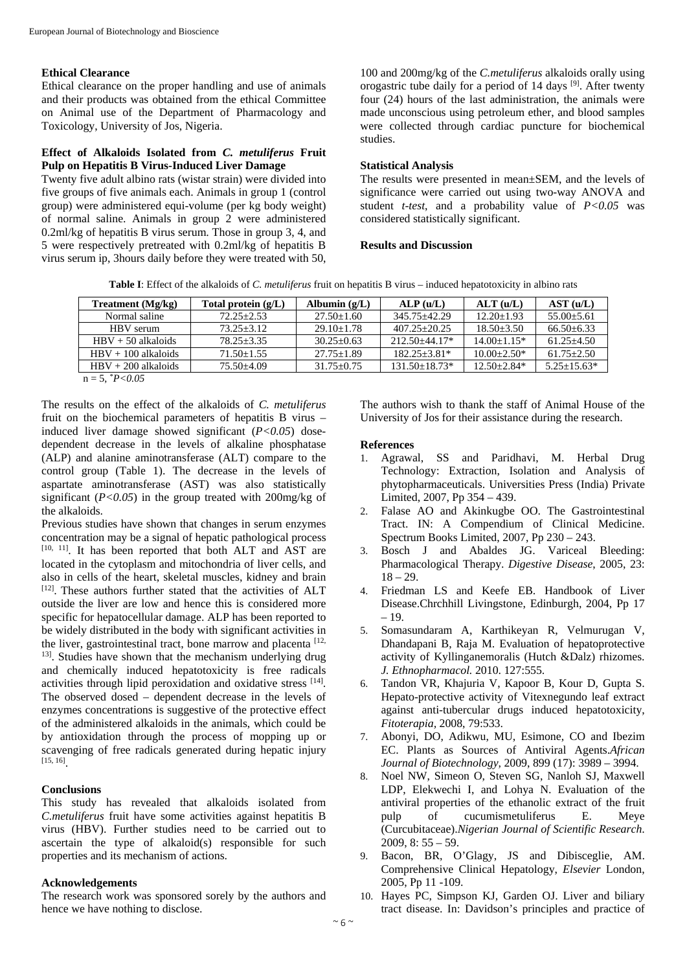#### **Ethical Clearance**

Ethical clearance on the proper handling and use of animals and their products was obtained from the ethical Committee on Animal use of the Department of Pharmacology and Toxicology, University of Jos, Nigeria.

## **Effect of Alkaloids Isolated from** *C. metuliferus* **Fruit Pulp on Hepatitis B Virus-Induced Liver Damage**

Twenty five adult albino rats (wistar strain) were divided into five groups of five animals each. Animals in group 1 (control group) were administered equi-volume (per kg body weight) of normal saline. Animals in group 2 were administered 0.2ml/kg of hepatitis B virus serum. Those in group 3, 4, and 5 were respectively pretreated with 0.2ml/kg of hepatitis B virus serum ip, 3hours daily before they were treated with 50,

100 and 200mg/kg of the *C.metuliferus* alkaloids orally using orogastric tube daily for a period of 14 days [9]. After twenty four (24) hours of the last administration, the animals were made unconscious using petroleum ether, and blood samples were collected through cardiac puncture for biochemical studies.

# **Statistical Analysis**

The results were presented in mean±SEM, and the levels of significance were carried out using two-way ANOVA and student *t-test*, and a probability value of *P<0.05* was considered statistically significant.

## **Results and Discussion**

**Table I**: Effect of the alkaloids of *C. metuliferus* fruit on hepatitis B virus – induced hepatotoxicity in albino rats

| Treatment $(Mg/kg)$   | Total protein $(g/L)$ | Albumin $(g/L)$  | ALP(u/L)          | ALT (u/L)       | AST (u/L)        |
|-----------------------|-----------------------|------------------|-------------------|-----------------|------------------|
| Normal saline         | $72.25 + 2.53$        | $27.50 \pm 1.60$ | 345.75+42.29      | $12.20 + 1.93$  | $55.00 \pm 5.61$ |
| HBV serum             | $73.25 + 3.12$        | $29.10 + 1.78$   | $407.25 + 20.25$  | $18.50 + 3.50$  | $66.50 + 6.33$   |
| $HBV + 50$ alkaloids  | $78.25 + 3.35$        | $30.25 + 0.63$   | $212.50 + 44.17*$ | $14.00 + 1.15*$ | $61.25 + 4.50$   |
| $HRV + 100$ alkaloids | $71.50 + 1.55$        | $27.75 + 1.89$   | $182.25 + 3.81*$  | $10.00 + 2.50*$ | $61.75 + 2.50$   |
| $HBV + 200$ alkaloids | $75.50 + 4.09$        | $31.75 + 0.75$   | $131.50 + 18.73*$ | $12.50 + 2.84*$ | $5.25 + 15.63*$  |
| $n = 5, *P < 0.05$    |                       |                  |                   |                 |                  |

The results on the effect of the alkaloids of *C. metuliferus* fruit on the biochemical parameters of hepatitis B virus – induced liver damage showed significant (*P<0.05*) dosedependent decrease in the levels of alkaline phosphatase (ALP) and alanine aminotransferase (ALT) compare to the control group (Table 1). The decrease in the levels of aspartate aminotransferase (AST) was also statistically significant  $(P<0.05)$  in the group treated with 200mg/kg of the alkaloids.

Previous studies have shown that changes in serum enzymes concentration may be a signal of hepatic pathological process [10, 11]. It has been reported that both ALT and AST are located in the cytoplasm and mitochondria of liver cells, and also in cells of the heart, skeletal muscles, kidney and brain [12]. These authors further stated that the activities of ALT outside the liver are low and hence this is considered more specific for hepatocellular damage. ALP has been reported to be widely distributed in the body with significant activities in the liver, gastrointestinal tract, bone marrow and placenta [12, <sup>13]</sup>. Studies have shown that the mechanism underlying drug and chemically induced hepatotoxicity is free radicals activities through lipid peroxidation and oxidative stress [14]. The observed dosed – dependent decrease in the levels of enzymes concentrations is suggestive of the protective effect of the administered alkaloids in the animals, which could be by antioxidation through the process of mopping up or scavenging of free radicals generated during hepatic injury [15, 16].

# **Conclusions**

This study has revealed that alkaloids isolated from *C.metuliferus* fruit have some activities against hepatitis B virus (HBV). Further studies need to be carried out to ascertain the type of alkaloid(s) responsible for such properties and its mechanism of actions.

## **Acknowledgements**

The research work was sponsored sorely by the authors and hence we have nothing to disclose.

The authors wish to thank the staff of Animal House of the University of Jos for their assistance during the research.

## **References**

- 1. Agrawal, SS and Paridhavi, M. Herbal Drug Technology: Extraction, Isolation and Analysis of phytopharmaceuticals. Universities Press (India) Private Limited, 2007, Pp 354 – 439.
- Falase AO and Akinkugbe OO. The Gastrointestinal Tract. IN: A Compendium of Clinical Medicine. Spectrum Books Limited, 2007, Pp 230 – 243.
- 3. Bosch J and Abaldes JG. Variceal Bleeding: Pharmacological Therapy. *Digestive Disease*, 2005, 23:  $18 - 29.$
- 4. Friedman LS and Keefe EB. Handbook of Liver Disease.Chrchhill Livingstone, Edinburgh, 2004, Pp 17  $-10$
- 5. Somasundaram A, Karthikeyan R, Velmurugan V, Dhandapani B, Raja M. Evaluation of hepatoprotective activity of Kyllinganemoralis (Hutch &Dalz) rhizomes. *J. Ethnopharmacol.* 2010. 127:555.
- 6. Tandon VR, Khajuria V, Kapoor B, Kour D, Gupta S. Hepato-protective activity of Vitexnegundo leaf extract against anti-tubercular drugs induced hepatotoxicity, *Fitoterapia,* 2008, 79:533.
- 7. Abonyi, DO, Adikwu, MU, Esimone, CO and Ibezim EC. Plants as Sources of Antiviral Agents.*African Journal of Biotechnology,* 2009, 899 (17): 3989 – 3994.
- 8. Noel NW, Simeon O, Steven SG, Nanloh SJ, Maxwell LDP, Elekwechi I, and Lohya N. Evaluation of the antiviral properties of the ethanolic extract of the fruit pulp of cucumismetuliferus E. Meye (Curcubitaceae).*Nigerian Journal of Scientific Research*. 2009, 8: 55 – 59.
- 9. Bacon, BR, O'Glagy, JS and Dibisceglie, AM. Comprehensive Clinical Hepatology, *Elsevier* London, 2005, Pp 11 -109.
- 10. Hayes PC, Simpson KJ, Garden OJ. Liver and biliary tract disease. In: Davidson's principles and practice of